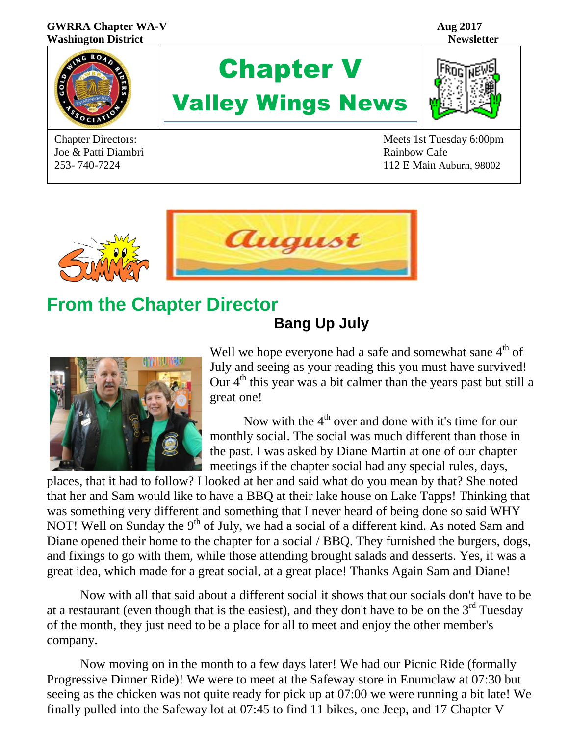#### **GWRRA Chapter WA-V Aug 2017 Washington District Newsletter**



Joe & Patti Diambri **Rainbow Cafe** 





Chapter Directors: Meets 1st Tuesday 6:00pm 253- 740-7224 112 E Main Auburn, 98002



### **From the Chapter Director Bang Up July**



Well we hope everyone had a safe and somewhat sane  $4<sup>th</sup>$  of July and seeing as your reading this you must have survived! Our  $4<sup>th</sup>$  this year was a bit calmer than the years past but still a great one!

Now with the  $4<sup>th</sup>$  over and done with it's time for our monthly social. The social was much different than those in the past. I was asked by Diane Martin at one of our chapter meetings if the chapter social had any special rules, days,

places, that it had to follow? I looked at her and said what do you mean by that? She noted that her and Sam would like to have a BBQ at their lake house on Lake Tapps! Thinking that was something very different and something that I never heard of being done so said WHY NOT! Well on Sunday the 9<sup>th</sup> of July, we had a social of a different kind. As noted Sam and Diane opened their home to the chapter for a social / BBQ. They furnished the burgers, dogs, and fixings to go with them, while those attending brought salads and desserts. Yes, it was a great idea, which made for a great social, at a great place! Thanks Again Sam and Diane!

Now with all that said about a different social it shows that our socials don't have to be at a restaurant (even though that is the easiest), and they don't have to be on the  $3<sup>rd</sup>$  Tuesday of the month, they just need to be a place for all to meet and enjoy the other member's company.

Now moving on in the month to a few days later! We had our Picnic Ride (formally Progressive Dinner Ride)! We were to meet at the Safeway store in Enumclaw at 07:30 but seeing as the chicken was not quite ready for pick up at 07:00 we were running a bit late! We finally pulled into the Safeway lot at 07:45 to find 11 bikes, one Jeep, and 17 Chapter V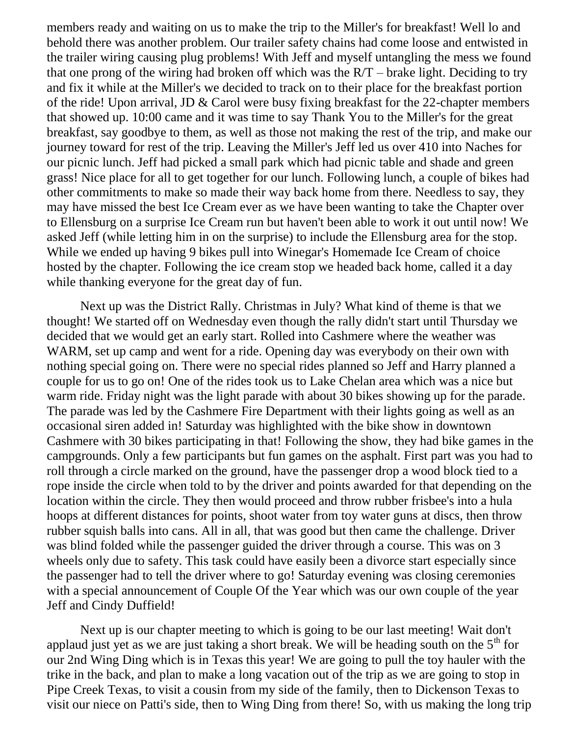members ready and waiting on us to make the trip to the Miller's for breakfast! Well lo and behold there was another problem. Our trailer safety chains had come loose and entwisted in the trailer wiring causing plug problems! With Jeff and myself untangling the mess we found that one prong of the wiring had broken off which was the  $\frac{RT}$  – brake light. Deciding to try and fix it while at the Miller's we decided to track on to their place for the breakfast portion of the ride! Upon arrival, JD & Carol were busy fixing breakfast for the 22-chapter members that showed up. 10:00 came and it was time to say Thank You to the Miller's for the great breakfast, say goodbye to them, as well as those not making the rest of the trip, and make our journey toward for rest of the trip. Leaving the Miller's Jeff led us over 410 into Naches for our picnic lunch. Jeff had picked a small park which had picnic table and shade and green grass! Nice place for all to get together for our lunch. Following lunch, a couple of bikes had other commitments to make so made their way back home from there. Needless to say, they may have missed the best Ice Cream ever as we have been wanting to take the Chapter over to Ellensburg on a surprise Ice Cream run but haven't been able to work it out until now! We asked Jeff (while letting him in on the surprise) to include the Ellensburg area for the stop. While we ended up having 9 bikes pull into Winegar's Homemade Ice Cream of choice hosted by the chapter. Following the ice cream stop we headed back home, called it a day while thanking everyone for the great day of fun.

Next up was the District Rally. Christmas in July? What kind of theme is that we thought! We started off on Wednesday even though the rally didn't start until Thursday we decided that we would get an early start. Rolled into Cashmere where the weather was WARM, set up camp and went for a ride. Opening day was everybody on their own with nothing special going on. There were no special rides planned so Jeff and Harry planned a couple for us to go on! One of the rides took us to Lake Chelan area which was a nice but warm ride. Friday night was the light parade with about 30 bikes showing up for the parade. The parade was led by the Cashmere Fire Department with their lights going as well as an occasional siren added in! Saturday was highlighted with the bike show in downtown Cashmere with 30 bikes participating in that! Following the show, they had bike games in the campgrounds. Only a few participants but fun games on the asphalt. First part was you had to roll through a circle marked on the ground, have the passenger drop a wood block tied to a rope inside the circle when told to by the driver and points awarded for that depending on the location within the circle. They then would proceed and throw rubber frisbee's into a hula hoops at different distances for points, shoot water from toy water guns at discs, then throw rubber squish balls into cans. All in all, that was good but then came the challenge. Driver was blind folded while the passenger guided the driver through a course. This was on 3 wheels only due to safety. This task could have easily been a divorce start especially since the passenger had to tell the driver where to go! Saturday evening was closing ceremonies with a special announcement of Couple Of the Year which was our own couple of the year Jeff and Cindy Duffield!

Next up is our chapter meeting to which is going to be our last meeting! Wait don't applaud just yet as we are just taking a short break. We will be heading south on the  $5<sup>th</sup>$  for our 2nd Wing Ding which is in Texas this year! We are going to pull the toy hauler with the trike in the back, and plan to make a long vacation out of the trip as we are going to stop in Pipe Creek Texas, to visit a cousin from my side of the family, then to Dickenson Texas to visit our niece on Patti's side, then to Wing Ding from there! So, with us making the long trip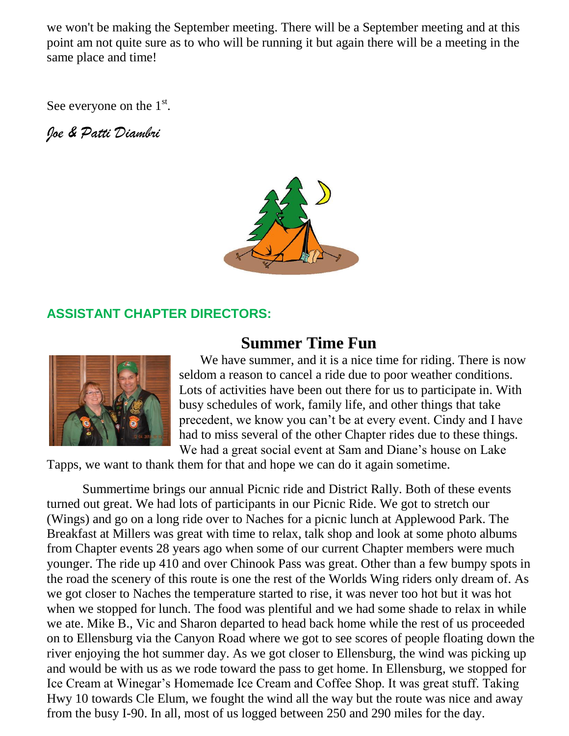we won't be making the September meeting. There will be a September meeting and at this point am not quite sure as to who will be running it but again there will be a meeting in the same place and time!

See everyone on the  $1<sup>st</sup>$ .

*Joe & Patti Diambri*



#### **ASSISTANT CHAPTER DIRECTORS:**



### **Summer Time Fun**

We have summer, and it is a nice time for riding. There is now seldom a reason to cancel a ride due to poor weather conditions. Lots of activities have been out there for us to participate in. With busy schedules of work, family life, and other things that take precedent, we know you can't be at every event. Cindy and I have had to miss several of the other Chapter rides due to these things. We had a great social event at Sam and Diane's house on Lake

Tapps, we want to thank them for that and hope we can do it again sometime.

 Summertime brings our annual Picnic ride and District Rally. Both of these events turned out great. We had lots of participants in our Picnic Ride. We got to stretch our (Wings) and go on a long ride over to Naches for a picnic lunch at Applewood Park. The Breakfast at Millers was great with time to relax, talk shop and look at some photo albums from Chapter events 28 years ago when some of our current Chapter members were much younger. The ride up 410 and over Chinook Pass was great. Other than a few bumpy spots in the road the scenery of this route is one the rest of the Worlds Wing riders only dream of. As we got closer to Naches the temperature started to rise, it was never too hot but it was hot when we stopped for lunch. The food was plentiful and we had some shade to relax in while we ate. Mike B., Vic and Sharon departed to head back home while the rest of us proceeded on to Ellensburg via the Canyon Road where we got to see scores of people floating down the river enjoying the hot summer day. As we got closer to Ellensburg, the wind was picking up and would be with us as we rode toward the pass to get home. In Ellensburg, we stopped for Ice Cream at Winegar's Homemade Ice Cream and Coffee Shop. It was great stuff. Taking Hwy 10 towards Cle Elum, we fought the wind all the way but the route was nice and away from the busy I-90. In all, most of us logged between 250 and 290 miles for the day.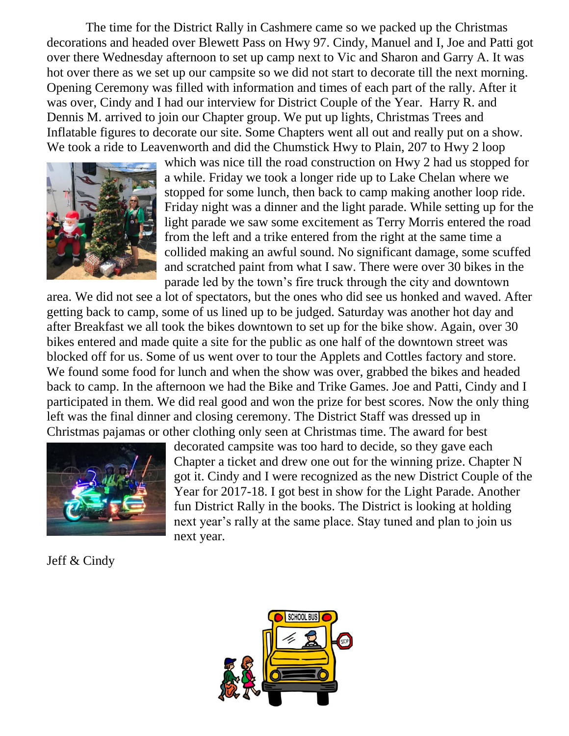The time for the District Rally in Cashmere came so we packed up the Christmas decorations and headed over Blewett Pass on Hwy 97. Cindy, Manuel and I, Joe and Patti got over there Wednesday afternoon to set up camp next to Vic and Sharon and Garry A. It was hot over there as we set up our campsite so we did not start to decorate till the next morning. Opening Ceremony was filled with information and times of each part of the rally. After it was over, Cindy and I had our interview for District Couple of the Year. Harry R. and Dennis M. arrived to join our Chapter group. We put up lights, Christmas Trees and Inflatable figures to decorate our site. Some Chapters went all out and really put on a show. We took a ride to Leavenworth and did the Chumstick Hwy to Plain, 207 to Hwy 2 loop



which was nice till the road construction on Hwy 2 had us stopped for a while. Friday we took a longer ride up to Lake Chelan where we stopped for some lunch, then back to camp making another loop ride. Friday night was a dinner and the light parade. While setting up for the light parade we saw some excitement as Terry Morris entered the road from the left and a trike entered from the right at the same time a collided making an awful sound. No significant damage, some scuffed and scratched paint from what I saw. There were over 30 bikes in the parade led by the town's fire truck through the city and downtown

area. We did not see a lot of spectators, but the ones who did see us honked and waved. After getting back to camp, some of us lined up to be judged. Saturday was another hot day and after Breakfast we all took the bikes downtown to set up for the bike show. Again, over 30 bikes entered and made quite a site for the public as one half of the downtown street was blocked off for us. Some of us went over to tour the Applets and Cottles factory and store. We found some food for lunch and when the show was over, grabbed the bikes and headed back to camp. In the afternoon we had the Bike and Trike Games. Joe and Patti, Cindy and I participated in them. We did real good and won the prize for best scores. Now the only thing left was the final dinner and closing ceremony. The District Staff was dressed up in Christmas pajamas or other clothing only seen at Christmas time. The award for best



decorated campsite was too hard to decide, so they gave each Chapter a ticket and drew one out for the winning prize. Chapter N got it. Cindy and I were recognized as the new District Couple of the Year for 2017-18. I got best in show for the Light Parade. Another fun District Rally in the books. The District is looking at holding next year's rally at the same place. Stay tuned and plan to join us next year.

Jeff & Cindy

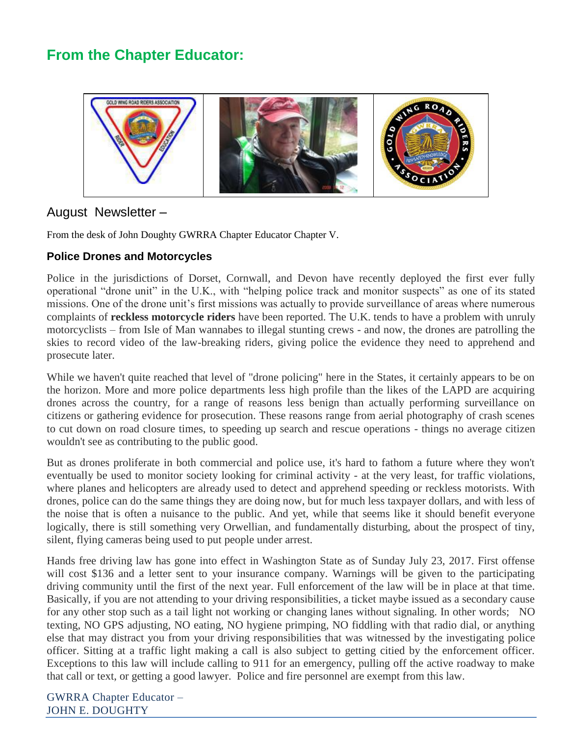### **From the Chapter Educator:**



#### August Newsletter –

From the desk of John Doughty GWRRA Chapter Educator Chapter V.

#### **Police Drones and Motorcycles**

Police in the jurisdictions of Dorset, Cornwall, and Devon have recently deployed the first ever fully operational "drone unit" in the U.K., with "helping police track and monitor suspects" as one of its stated missions. One of the drone unit's first missions was actually to provide surveillance of areas where numerous complaints of **reckless motorcycle riders** have been reported. The U.K. tends to have a problem with unruly motorcyclists – from Isle of Man wannabes to illegal stunting crews - and now, the drones are patrolling the skies to record video of the law-breaking riders, giving police the evidence they need to apprehend and prosecute later.

While we haven't quite reached that level of "drone policing" here in the States, it certainly appears to be on the horizon. More and more police departments less high profile than the likes of the LAPD are acquiring drones across the country, for a range of reasons less benign than actually performing surveillance on citizens or gathering evidence for prosecution. These reasons range from aerial photography of crash scenes to cut down on road closure times, to speeding up search and rescue operations - things no average citizen wouldn't see as contributing to the public good.

But as drones proliferate in both commercial and police use, it's hard to fathom a future where they won't eventually be used to monitor society looking for criminal activity - at the very least, for traffic violations, where planes and helicopters are already used to detect and apprehend speeding or reckless motorists. With drones, police can do the same things they are doing now, but for much less taxpayer dollars, and with less of the noise that is often a nuisance to the public. And yet, while that seems like it should benefit everyone logically, there is still something very Orwellian, and fundamentally disturbing, about the prospect of tiny, silent, flying cameras being used to put people under arrest.

Hands free driving law has gone into effect in Washington State as of Sunday July 23, 2017. First offense will cost \$136 and a letter sent to your insurance company. Warnings will be given to the participating driving community until the first of the next year. Full enforcement of the law will be in place at that time. Basically, if you are not attending to your driving responsibilities, a ticket maybe issued as a secondary cause for any other stop such as a tail light not working or changing lanes without signaling. In other words; NO texting, NO GPS adjusting, NO eating, NO hygiene primping, NO fiddling with that radio dial, or anything else that may distract you from your driving responsibilities that was witnessed by the investigating police officer. Sitting at a traffic light making a call is also subject to getting citied by the enforcement officer. Exceptions to this law will include calling to 911 for an emergency, pulling off the active roadway to make that call or text, or getting a good lawyer. Police and fire personnel are exempt from this law.

GWRRA Chapter Educator – JOHN E. DOUGHTY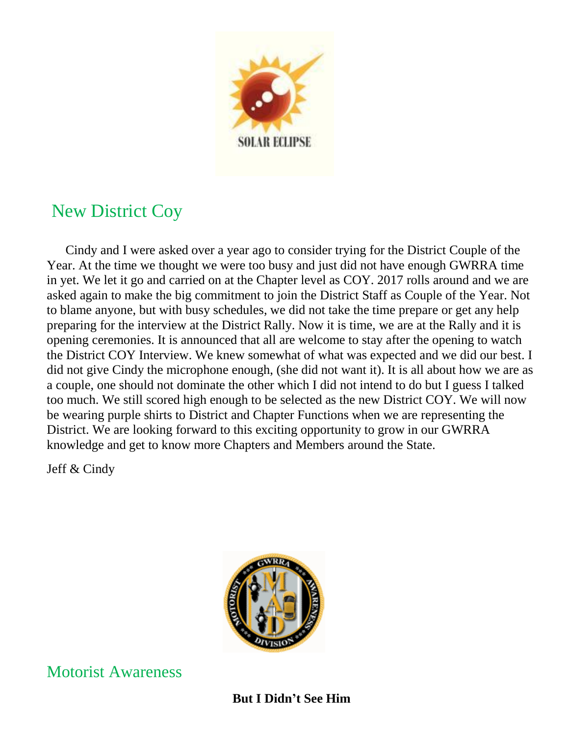

## New District Coy

 Cindy and I were asked over a year ago to consider trying for the District Couple of the Year. At the time we thought we were too busy and just did not have enough GWRRA time in yet. We let it go and carried on at the Chapter level as COY. 2017 rolls around and we are asked again to make the big commitment to join the District Staff as Couple of the Year. Not to blame anyone, but with busy schedules, we did not take the time prepare or get any help preparing for the interview at the District Rally. Now it is time, we are at the Rally and it is opening ceremonies. It is announced that all are welcome to stay after the opening to watch the District COY Interview. We knew somewhat of what was expected and we did our best. I did not give Cindy the microphone enough, (she did not want it). It is all about how we are as a couple, one should not dominate the other which I did not intend to do but I guess I talked too much. We still scored high enough to be selected as the new District COY. We will now be wearing purple shirts to District and Chapter Functions when we are representing the District. We are looking forward to this exciting opportunity to grow in our GWRRA knowledge and get to know more Chapters and Members around the State.

Jeff & Cindy



### Motorist Awareness

#### **But I Didn't See Him**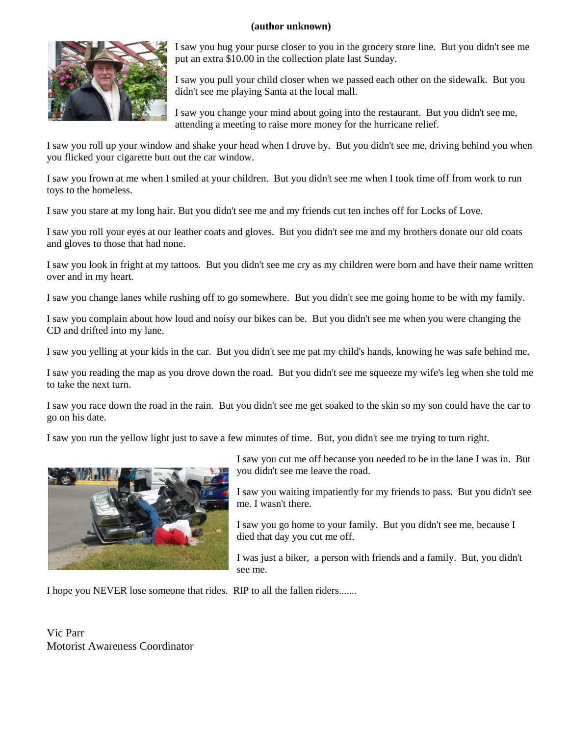#### **(author unknown)**



I saw you hug your purse closer to you in the grocery store line. But you didn't see me put an extra \$10.00 in the collection plate last Sunday.

I saw you pull your child closer when we passed each other on the sidewalk. But you didn't see me playing Santa at the local mall.

I saw you change your mind about going into the restaurant. But you didn't see me, attending a meeting to raise more money for the hurricane relief.

I saw you roll up your window and shake your head when I drove by. But you didn't see me, driving behind you when you flicked your cigarette butt out the car window.

I saw you frown at me when I smiled at your children. But you didn't see me when I took time off from work to run toys to the homeless.

I saw you stare at my long hair. But you didn't see me and my friends cut ten inches off for Locks of Love.

I saw you roll your eyes at our leather coats and gloves. But you didn't see me and my brothers donate our old coats and gloves to those that had none.

I saw you look in fright at my tattoos. But you didn't see me cry as my children were born and have their name written over and in my heart.

I saw you change lanes while rushing off to go somewhere. But you didn't see me going home to be with my family.

I saw you complain about how loud and noisy our bikes can be. But you didn't see me when you were changing the CD and drifted into my lane.

I saw you yelling at your kids in the car. But you didn't see me pat my child's hands, knowing he was safe behind me.

I saw you reading the map as you drove down the road. But you didn't see me squeeze my wife's leg when she told me to take the next turn.

I saw you race down the road in the rain. But you didn't see me get soaked to the skin so my son could have the car to go on his date.

I saw you run the yellow light just to save a few minutes of time. But, you didn't see me trying to turn right.



I saw you cut me off because you needed to be in the lane I was in. But you didn't see me leave the road.

I saw you waiting impatiently for my friends to pass. But you didn't see me. I wasn't there.

I saw you go home to your family. But you didn't see me, because I died that day you cut me off.

I was just a biker, a person with friends and a family. But, you didn't see me.

I hope you NEVER lose someone that rides. RIP to all the fallen riders.......

Vic Parr Motorist Awareness Coordinator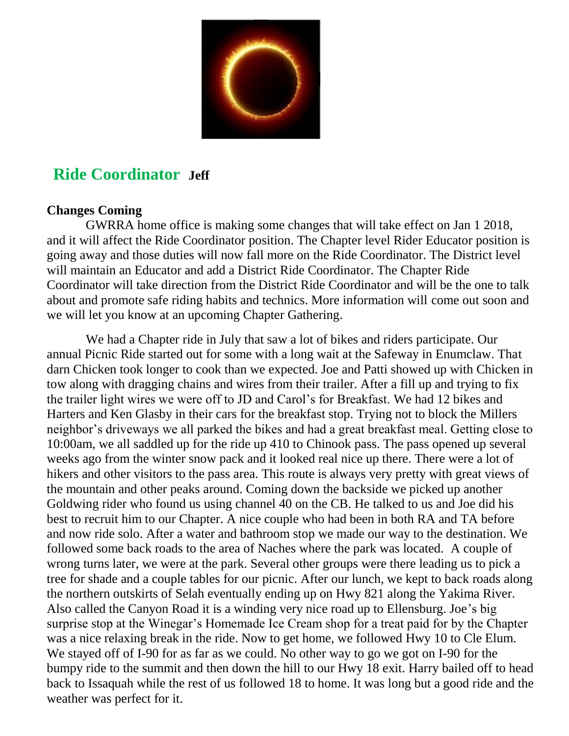

### **Ride Coordinator Jeff**

#### **Changes Coming**

 GWRRA home office is making some changes that will take effect on Jan 1 2018, and it will affect the Ride Coordinator position. The Chapter level Rider Educator position is going away and those duties will now fall more on the Ride Coordinator. The District level will maintain an Educator and add a District Ride Coordinator. The Chapter Ride Coordinator will take direction from the District Ride Coordinator and will be the one to talk about and promote safe riding habits and technics. More information will come out soon and we will let you know at an upcoming Chapter Gathering.

 We had a Chapter ride in July that saw a lot of bikes and riders participate. Our annual Picnic Ride started out for some with a long wait at the Safeway in Enumclaw. That darn Chicken took longer to cook than we expected. Joe and Patti showed up with Chicken in tow along with dragging chains and wires from their trailer. After a fill up and trying to fix the trailer light wires we were off to JD and Carol's for Breakfast. We had 12 bikes and Harters and Ken Glasby in their cars for the breakfast stop. Trying not to block the Millers neighbor's driveways we all parked the bikes and had a great breakfast meal. Getting close to 10:00am, we all saddled up for the ride up 410 to Chinook pass. The pass opened up several weeks ago from the winter snow pack and it looked real nice up there. There were a lot of hikers and other visitors to the pass area. This route is always very pretty with great views of the mountain and other peaks around. Coming down the backside we picked up another Goldwing rider who found us using channel 40 on the CB. He talked to us and Joe did his best to recruit him to our Chapter. A nice couple who had been in both RA and TA before and now ride solo. After a water and bathroom stop we made our way to the destination. We followed some back roads to the area of Naches where the park was located. A couple of wrong turns later, we were at the park. Several other groups were there leading us to pick a tree for shade and a couple tables for our picnic. After our lunch, we kept to back roads along the northern outskirts of Selah eventually ending up on Hwy 821 along the Yakima River. Also called the Canyon Road it is a winding very nice road up to Ellensburg. Joe's big surprise stop at the Winegar's Homemade Ice Cream shop for a treat paid for by the Chapter was a nice relaxing break in the ride. Now to get home, we followed Hwy 10 to Cle Elum. We stayed off of I-90 for as far as we could. No other way to go we got on I-90 for the bumpy ride to the summit and then down the hill to our Hwy 18 exit. Harry bailed off to head back to Issaquah while the rest of us followed 18 to home. It was long but a good ride and the weather was perfect for it.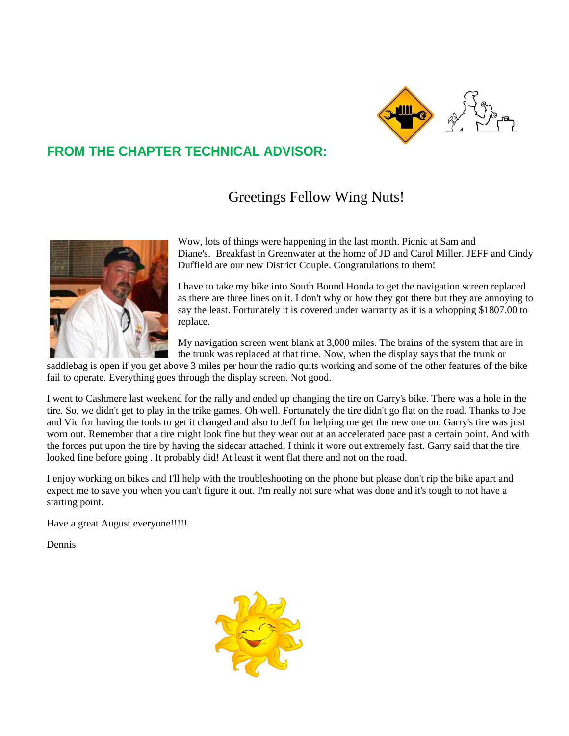

### **FROM THE CHAPTER TECHNICAL ADVISOR:**

Greetings Fellow Wing Nuts!



Wow, lots of things were happening in the last month. Picnic at Sam and Diane's. Breakfast in Greenwater at the home of JD and Carol Miller. JEFF and Cindy Duffield are our new District Couple. Congratulations to them!

I have to take my bike into South Bound Honda to get the navigation screen replaced as there are three lines on it. I don't why or how they got there but they are annoying to say the least. Fortunately it is covered under warranty as it is a whopping \$1807.00 to replace.

My navigation screen went blank at 3,000 miles. The brains of the system that are in the trunk was replaced at that time. Now, when the display says that the trunk or

saddlebag is open if you get above 3 miles per hour the radio quits working and some of the other features of the bike fail to operate. Everything goes through the display screen. Not good.

I went to Cashmere last weekend for the rally and ended up changing the tire on Garry's bike. There was a hole in the tire. So, we didn't get to play in the trike games. Oh well. Fortunately the tire didn't go flat on the road. Thanks to Joe and Vic for having the tools to get it changed and also to Jeff for helping me get the new one on. Garry's tire was just worn out. Remember that a tire might look fine but they wear out at an accelerated pace past a certain point. And with the forces put upon the tire by having the sidecar attached, I think it wore out extremely fast. Garry said that the tire looked fine before going . It probably did! At least it went flat there and not on the road.

I enjoy working on bikes and I'll help with the troubleshooting on the phone but please don't rip the bike apart and expect me to save you when you can't figure it out. I'm really not sure what was done and it's tough to not have a starting point.

Have a great August everyone!!!!!

Dennis

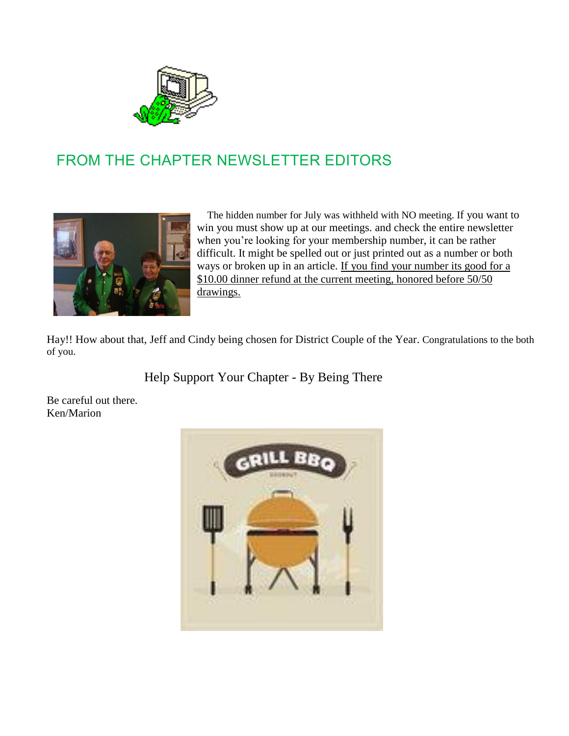

### FROM THE CHAPTER NEWSLETTER EDITORS



 The hidden number for July was withheld with NO meeting. If you want to win you must show up at our meetings. and check the entire newsletter when you're looking for your membership number, it can be rather difficult. It might be spelled out or just printed out as a number or both ways or broken up in an article. If you find your number its good for a \$10.00 dinner refund at the current meeting, honored before 50/50 drawings.

Hay!! How about that, Jeff and Cindy being chosen for District Couple of the Year. Congratulations to the both of you.

Help Support Your Chapter - By Being There

Be careful out there. Ken/Marion

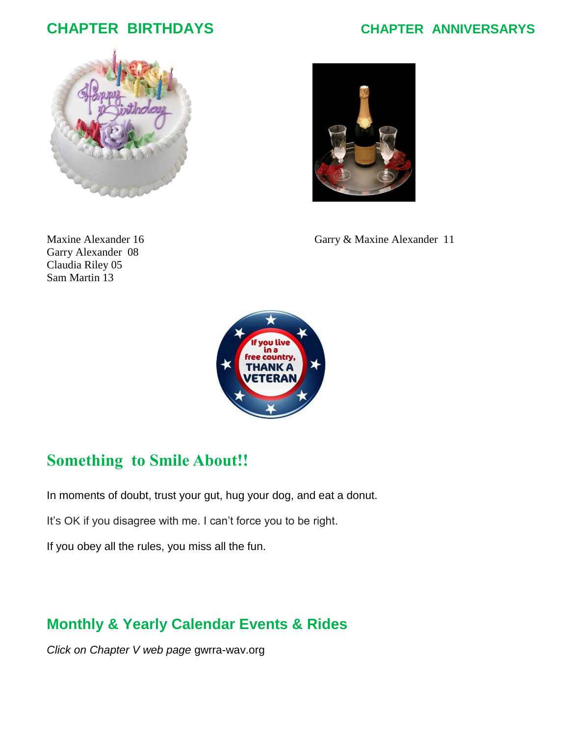### **CHAPTER BIRTHDAYS CHAPTER ANNIVERSARYS**





Garry Alexander 08 Claudia Riley 05 Sam Martin 13

Maxine Alexander 16 Garry & Maxine Alexander 11



### **Something to Smile About!!**

In moments of doubt, trust your gut, hug your dog, and eat a donut.

It's OK if you disagree with me. I can't force you to be right.

If you obey all the rules, you miss all the fun.

### **Monthly & Yearly Calendar Events & Rides**

*Click on Chapter V web page* gwrra-wav.org